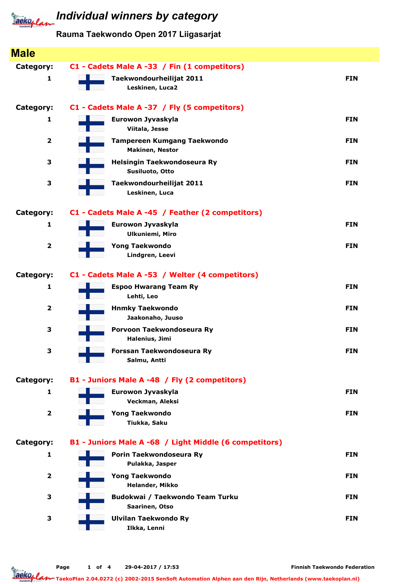

# **Jacko, Law** Individual winners by category

### Rauma Taekwondo Open 2017 Liigasarjat

| <b>Male</b>             |                                                        |            |
|-------------------------|--------------------------------------------------------|------------|
| Category:               | C1 - Cadets Male A -33 / Fin (1 competitors)           |            |
| 1                       | Taekwondourheilijat 2011                               | <b>FIN</b> |
|                         | Leskinen, Luca2                                        |            |
| <b>Category:</b>        | C1 - Cadets Male A -37 / Fly (5 competitors)           |            |
| 1                       | Eurowon Jyvaskyla<br>Viitala, Jesse                    | <b>FIN</b> |
| $\overline{\mathbf{2}}$ | <b>Tampereen Kumgang Taekwondo</b>                     | <b>FIN</b> |
|                         | <b>Makinen, Nestor</b>                                 |            |
| 3                       | Helsingin Taekwondoseura Ry<br>Susiluoto, Otto         | <b>FIN</b> |
| 3                       | Taekwondourheilijat 2011                               | <b>FIN</b> |
|                         | Leskinen, Luca                                         |            |
| Category:               | C1 - Cadets Male A -45 / Feather (2 competitors)       |            |
| 1                       | Eurowon Jyvaskyla                                      | <b>FIN</b> |
|                         | <b>Ulkuniemi, Miro</b>                                 |            |
| $\overline{\mathbf{2}}$ | <b>Yong Taekwondo</b>                                  | <b>FIN</b> |
|                         | Lindgren, Leevi                                        |            |
| <b>Category:</b>        | C1 - Cadets Male A -53 / Welter (4 competitors)        |            |
| 1                       | <b>Espoo Hwarang Team Ry</b>                           | <b>FIN</b> |
| $\overline{\mathbf{2}}$ | Lehti, Leo<br><b>Hnmky Taekwondo</b>                   | <b>FIN</b> |
|                         | Jaakonaho, Juuso                                       |            |
| 3                       | Porvoon Taekwondoseura Ry                              | <b>FIN</b> |
|                         | Halenius, Jimi                                         |            |
| 3                       | Forssan Taekwondoseura Ry<br>Salmu, Antti              | <b>FIN</b> |
|                         |                                                        |            |
| Category:               | B1 - Juniors Male A -48 / Fly (2 competitors)          |            |
| $\mathbf{1}$            | Eurowon Jyvaskyla<br>Veckman, Aleksi                   | <b>FIN</b> |
| $\overline{\mathbf{2}}$ | <b>Yong Taekwondo</b>                                  | <b>FIN</b> |
|                         | Tiukka, Saku                                           |            |
| Category:               | B1 - Juniors Male A -68 / Light Middle (6 competitors) |            |
| 1                       | Porin Taekwondoseura Ry                                | <b>FIN</b> |
|                         | Pulakka, Jasper                                        |            |
| $\overline{\mathbf{2}}$ | <b>Yong Taekwondo</b><br>Helander, Mikko               | <b>FIN</b> |
| 3                       | Budokwai / Taekwondo Team Turku                        | <b>FIN</b> |
|                         | Saarinen, Otso                                         |            |
| 3                       | <b>Ulvilan Taekwondo Ry</b>                            | <b>FIN</b> |
|                         | Ilkka, Lenni                                           |            |

Finnish Taekwondo Federation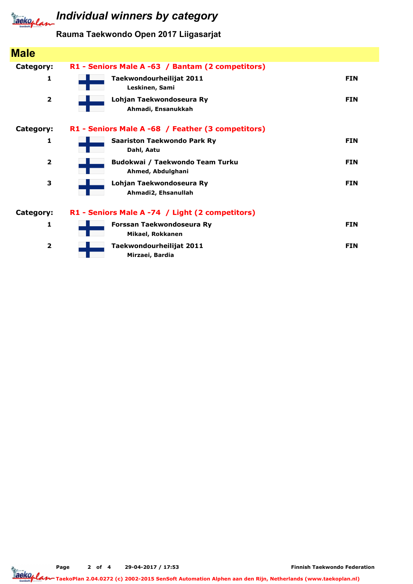

## *Iaeko<sub>plan</sub>* Individual winners by category

### Rauma Taekwondo Open 2017 Liigasarjat

| <b>Male</b>             |                                                      |            |
|-------------------------|------------------------------------------------------|------------|
| Category:               | R1 - Seniors Male A -63 / Bantam (2 competitors)     |            |
| 1                       | Taekwondourheilijat 2011<br>Leskinen, Sami           | <b>FIN</b> |
| $\overline{\mathbf{2}}$ | Lohjan Taekwondoseura Ry<br>Ahmadi, Ensanukkah       | <b>FIN</b> |
| Category:               | R1 - Seniors Male A -68 / Feather (3 competitors)    |            |
| 1                       | <b>Saariston Taekwondo Park Ry</b><br>Dahl, Aatu     | <b>FIN</b> |
| $\overline{2}$          | Budokwai / Taekwondo Team Turku<br>Ahmed, Abdulghani | <b>FIN</b> |
| 3                       | Lohjan Taekwondoseura Ry<br>Ahmadi2, Ehsanullah      | <b>FIN</b> |
| Category:               | R1 - Seniors Male A -74 / Light (2 competitors)      |            |
| 1                       | Forssan Taekwondoseura Ry<br>Mikael, Rokkanen        | <b>FIN</b> |
| $\overline{2}$          | Taekwondourheilijat 2011<br>Mirzaei, Bardia          | <b>FIN</b> |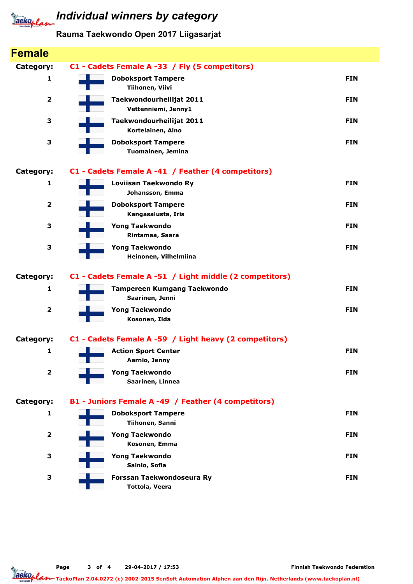

### Rauma Taekwondo Open 2017 Liigasarjat

| <b>Female</b>           |                                                          |            |
|-------------------------|----------------------------------------------------------|------------|
| Category:               | C1 - Cadets Female A -33 / Fly (5 competitors)           |            |
| 1                       | <b>Doboksport Tampere</b><br>Tiihonen, Viivi             | <b>FIN</b> |
| $\overline{\mathbf{2}}$ | Taekwondourheilijat 2011<br>Vettenniemi, Jenny1          | <b>FIN</b> |
| 3                       | Taekwondourheilijat 2011<br>Kortelainen, Aino            | <b>FIN</b> |
| 3                       | <b>Doboksport Tampere</b><br>Tuomainen, Jemina           | <b>FIN</b> |
| Category:               | C1 - Cadets Female A -41 / Feather (4 competitors)       |            |
| 1                       | Loviisan Taekwondo Ry<br>Johansson, Emma                 | <b>FIN</b> |
| $\overline{\mathbf{2}}$ | <b>Doboksport Tampere</b><br>Kangasalusta, Iris          | <b>FIN</b> |
| 3                       | <b>Yong Taekwondo</b><br>Rintamaa, Saara                 | <b>FIN</b> |
| 3                       | <b>Yong Taekwondo</b><br>Heinonen, Vilhelmiina           | <b>FIN</b> |
| Category:               | C1 - Cadets Female A -51 / Light middle (2 competitors)  |            |
| 1                       | <b>Tampereen Kumgang Taekwondo</b><br>Saarinen, Jenni    | <b>FIN</b> |
| $\overline{\mathbf{2}}$ | <b>Yong Taekwondo</b><br>Kosonen, Iida                   | <b>FIN</b> |
| Category:               | C1 - Cadets Female A -59 / Light heavy (2 competitors)   |            |
| 1                       | <b>Action Sport Center</b><br>$\sim 10$<br>Aarnio, Jenny | <b>FIN</b> |
| $\overline{\mathbf{2}}$ | <b>Yong Taekwondo</b><br>Saarinen, Linnea                | <b>FIN</b> |
| Category:               | B1 - Juniors Female A -49 / Feather (4 competitors)      |            |
| 1                       | <b>Doboksport Tampere</b><br>Tiihonen, Sanni             | <b>FIN</b> |
| $\overline{\mathbf{2}}$ | <b>Yong Taekwondo</b><br>Kosonen, Emma                   | <b>FIN</b> |
| 3                       | <b>Yong Taekwondo</b><br>Sainio, Sofia                   | <b>FIN</b> |
| 3                       | Forssan Taekwondoseura Ry<br><b>Tottola, Veera</b>       | <b>FIN</b> |

Page 3 of 4 29-04-2017 / 17:53